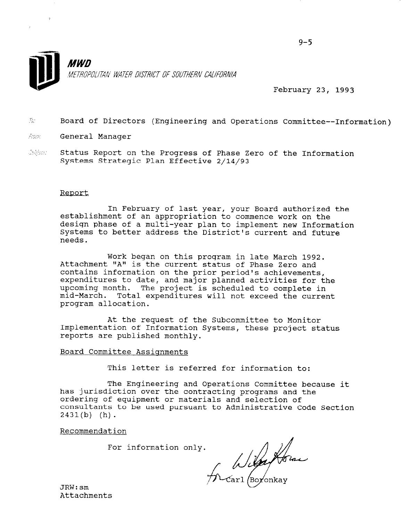

February 23, 1993

- $\gamma_{\tilde{q}}$  . 9. Board of Directors (Engineering and Operations Committee--Information)
- $\tilde{m}m$  General Manager
- $n_{\rm th}$  ,  $n_{\rm d}$ - Status Report on the Progress of Phase Zero of the Information Systems Strategic Plan Effective 2/14/93

#### Report

In February of last year, your Board authorized the establishment of an appropriation to commence work on the design phase of a multi-year plan to implement new Information Systems to better address the District's current and future needs.

Work began on this program in late March 1992. Attachment "A" is the current status of Phase Zero and contains information on the prior period's achievements, expenditures to date, and major planned activities for the upcoming month. The project is scheduled to complete in mid-March. Total expenditures will not exceed the current program allocation.

At the request of the Subcommittee to Monitor Implementation of Information Systems, these project status reports are published monthly.

#### Board Committee Assignments

This letter is referred for information to:

 $\mathbf{m}_{\mathbf{k}}$  . Engineering and Operations Committee because it committee because it committee because it committee because it committee because it committees it committees it committees it committees it committees it com has the chighneering and operations committee be has jurisdiction over the contracting programs and the ordering of equipment or materials and selection of consultants to be used pursuant to Administrative Code Section  $2431(b)$  (h).

Recommendation

For information only.

Si de la forme

JRW:sm JKW:SM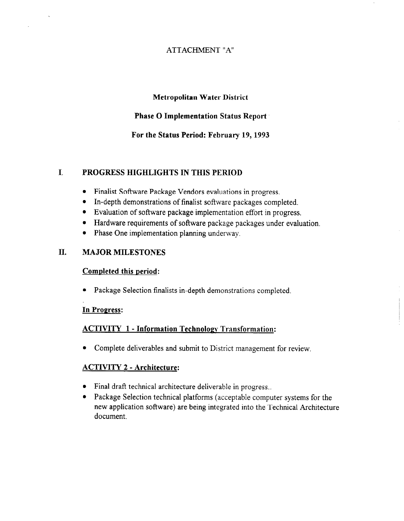## ATTACHMENT "A"

#### Metropolitan Water District

#### Phase 0 Implementation Status Report

#### For the Status Period: February 19,1993

#### I. PROGRESS HIGHLIGHTS IN THIS PERIOD

- Finalist Software Package Vendors evaluations in progress.
- In-depth demonstrations of finalist software packages completed.
- Evaluation of software package implementation effort in progress.
- **•** Hardware requirements of software package packages under evaluation.
- Phase One implementation planning underway.

#### II. MAJOR MILESTONES

#### Completed this period:

• Package Selection finalists in-depth demonstrations completed.

#### In Progress:

#### ACTIVITY 1 - Information Technologv Transformation:

• Complete deliverables and submit to District management for review.

#### ACTIVITY 2 - Architecture:

- $\bullet$  Final draft technical architecture deliverable in progress..
- Package Selection technical platforms (acceptable computer systems for the new application software) are being integrated into the Technical Architecture document.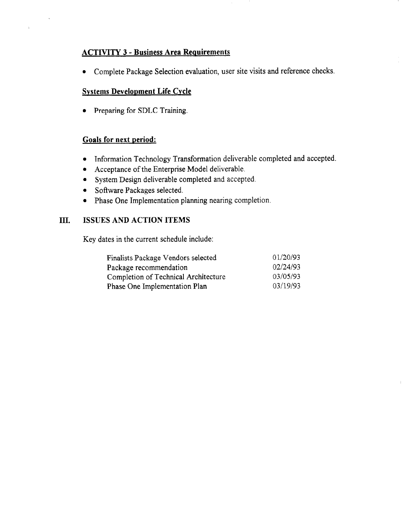# **ACTIVITY 3 - Business Area Requirements**

• Complete Package Selection evaluation, user site visits and reference checks.

#### Systems Development Life Cycle

• Preparing for SDLC Training.

#### Goals for next period:

 $\mathbf{r}$ 

- Information Technology Transformation deliverable completed and accepted.
- Acceptance of the Enterprise Model deliverable.
- System Design deliverable completed and accepted.
- Software Packages selected.
- Phase One Implementation planning nearing completion.

# In. ISSUES AND ACTION ITEMS

Key dates in the current schedule include:

| Finalists Package Vendors selected   | 01/20/93 |
|--------------------------------------|----------|
| Package recommendation               | 02/24/93 |
| Completion of Technical Architecture | 03/05/93 |
| Phase One Implementation Plan        | 03/19/93 |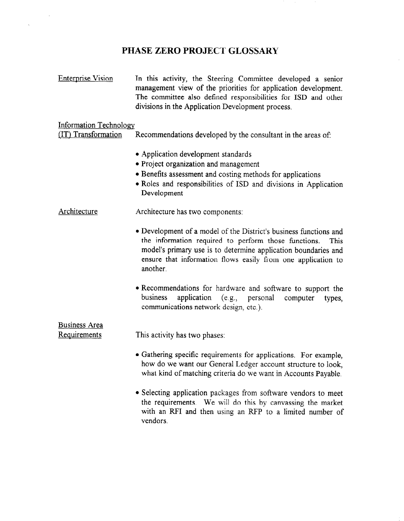# PHASE ZERO PROJECT GLOSSARY

 $\sim 10^{-1}$ 

 $\mathcal{A}^{(1)}$ 

 $\sim$ 

 $\mathcal{F}$ 

| <b>Enterprise Vision</b>                             | In this activity, the Steering Committee developed a senior<br>management view of the priorities for application development.<br>The committee also defined responsibilities for ISD and other<br>divisions in the Application Development process.                             |
|------------------------------------------------------|---------------------------------------------------------------------------------------------------------------------------------------------------------------------------------------------------------------------------------------------------------------------------------|
| <b>Information Technology</b><br>(IT) Transformation | Recommendations developed by the consultant in the areas of:                                                                                                                                                                                                                    |
|                                                      | • Application development standards<br>• Project organization and management<br>• Benefits assessment and costing methods for applications<br>• Roles and responsibilities of ISD and divisions in Application<br>Development                                                   |
| Architecture                                         | Architecture has two components:                                                                                                                                                                                                                                                |
|                                                      | • Development of a model of the District's business functions and<br>the information required to perform those functions.<br>This<br>model's primary use is to determine application boundaries and<br>ensure that information flows easily from one application to<br>another. |
|                                                      | • Recommendations for hardware and software to support the<br>application (e.g., personal<br>business<br>computer<br>types,<br>communications network design, etc.).                                                                                                            |
| <b>Business Area</b>                                 |                                                                                                                                                                                                                                                                                 |
| Requirements                                         | This activity has two phases:                                                                                                                                                                                                                                                   |
|                                                      | • Gathering specific requirements for applications. For example,<br>how do we want our General Ledger account structure to look,<br>what kind of matching criteria do we want in Accounts Payable.                                                                              |
|                                                      | • Selecting application packages from software vendors to meet<br>the requirements. We will do this by canvassing the market<br>with an RFI and then using an RFP to a limited number of<br>vendors.                                                                            |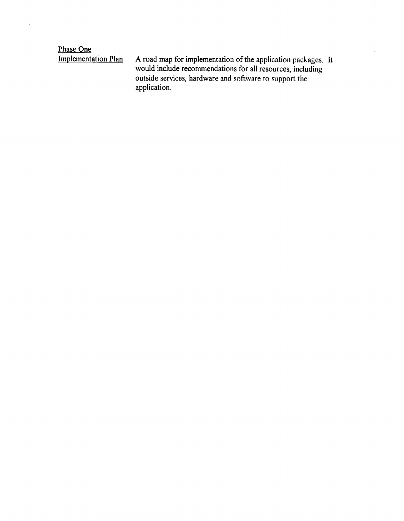Phase One<br>Implementation Plan

 $\hat{\boldsymbol{\gamma}}$ 

Implementation Plan A road map for implementation of the application packages. It would include recommendations for all resources, including outside services, hardware and software to support the application.

 $\mathcal{L}$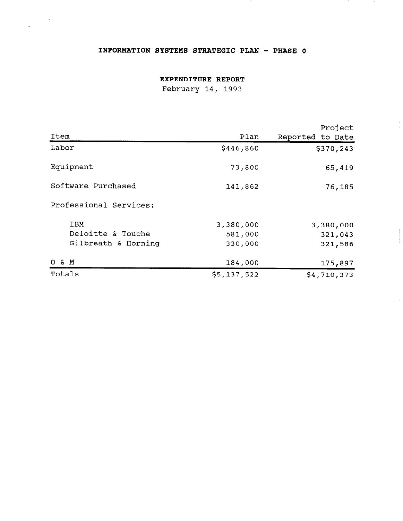#### INFORMATION SYSTEMS STRATEGIC PLAN - PHASE 0

 $\label{eq:2.1} \frac{1}{\sqrt{2}}\int_{0}^{\infty}\frac{1}{\sqrt{2\pi}}\left(\frac{1}{\sqrt{2}}\right)^{2}d\mu_{\rm{eff}}$ 

 $\bar{\alpha}$ 

#### EXPENDITURE REPORT

February 14, 1993

|                        |             | Project          |
|------------------------|-------------|------------------|
| Item                   | Plan        | Reported to Date |
| Labor                  | \$446,860   | \$370,243        |
| Equipment              | 73,800      | 65,419           |
| Software Purchased     | 141,862     | 76,185           |
| Professional Services: |             |                  |
| <b>IBM</b>             | 3,380,000   | 3,380,000        |
| Deloitte & Touche      | 581,000     | 321,043          |
| Gilbreath & Horning    | 330,000     | 321,586          |
| O & M                  | 184,000     | 175,897          |
| Totals                 | \$5,137,522 | \$4,710,373      |